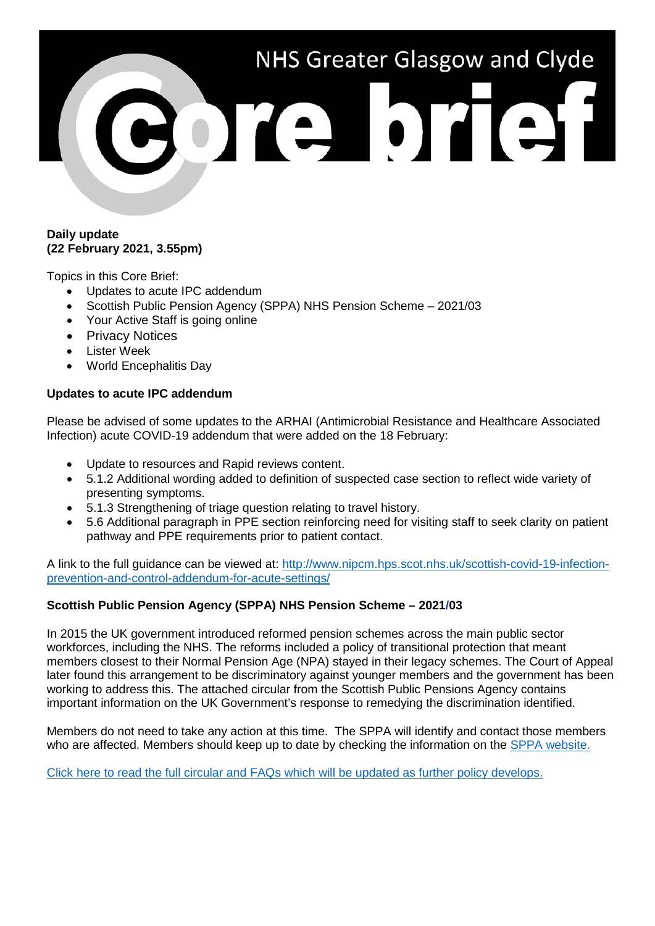

### **Daily update (22 February 2021, 3.55pm)**

Topics in this Core Brief:

- Updates to acute IPC addendum
- Scottish Public Pension Agency (SPPA) NHS Pension Scheme 2021/03
- Your Active Staff is going online
- Privacy Notices
- Lister Week
- World Encephalitis Day

### **Updates to acute IPC addendum**

Please be advised of some updates to the ARHAI (Antimicrobial Resistance and Healthcare Associated Infection) acute COVID-19 addendum that were added on the 18 February:

- Update to resources and Rapid reviews content.
- 5.1.2 Additional wording added to definition of suspected case section to reflect wide variety of presenting symptoms.
- 5.1.3 Strengthening of triage question relating to travel history.
- 5.6 Additional paragraph in PPE section reinforcing need for visiting staff to seek clarity on patient pathway and PPE requirements prior to patient contact.

A link to the full guidance can be viewed at: [http://www.nipcm.hps.scot.nhs.uk/scottish-covid-19-infection](http://www.nipcm.hps.scot.nhs.uk/scottish-covid-19-infection-prevention-and-control-addendum-for-acute-settings/)[prevention-and-control-addendum-for-acute-settings/](http://www.nipcm.hps.scot.nhs.uk/scottish-covid-19-infection-prevention-and-control-addendum-for-acute-settings/)

# **Scottish Public Pension Agency (SPPA) NHS Pension Scheme – 2021/03**

In 2015 the UK government introduced reformed pension schemes across the main public sector workforces, including the NHS. The reforms included a policy of transitional protection that meant members closest to their Normal Pension Age (NPA) stayed in their legacy schemes. The Court of Appeal later found this arrangement to be discriminatory against younger members and the government has been working to address this. The attached circular from the Scottish Public Pensions Agency contains important information on the UK Government's response to remedying the discrimination identified.

Members do not need to take any action at this time. The SPPA will identify and contact those members who are affected. Members should keep up to date by checking the information on the [SPPA website.](https://pensions.gov.scot/nhs)

[Click here to read the full circular and FAQs which will be updated as further policy develops.](https://pensions.gov.scot/sites/default/files/2021-02/2021-03_NHS_Circular_Pension_Remedy_Project_Consultation_Response.pdf)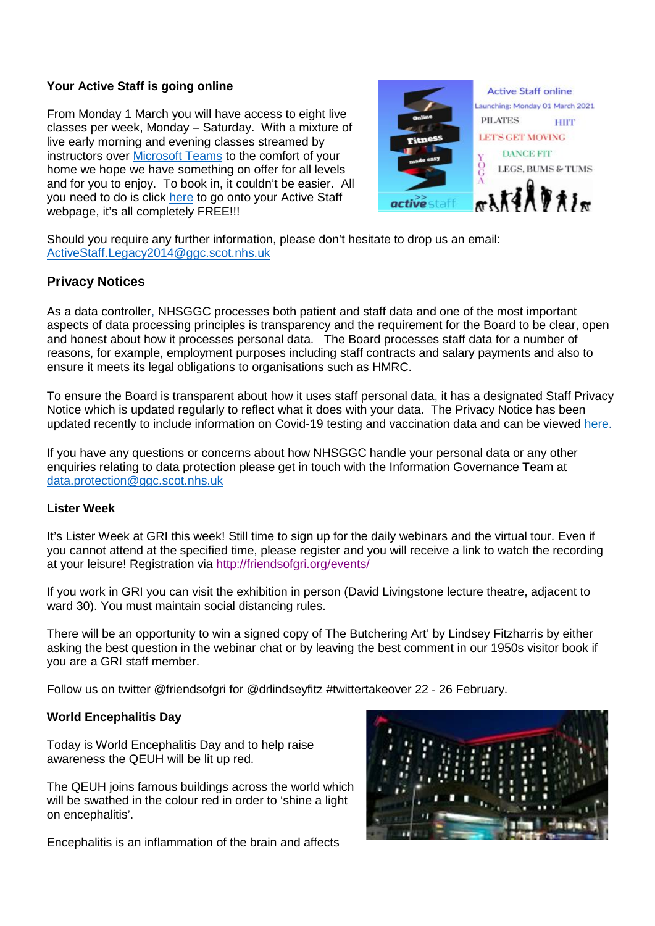## **Your Active Staff is going online**

From Monday 1 March you will have access to eight live classes per week, Monday – Saturday. With a mixture of live early morning and evening classes streamed by instructors over [Microsoft Teams](https://www.microsoft.com/en-gb/microsoft-teams/download-app) to the comfort of your home we hope we have something on offer for all levels and for you to enjoy. To book in, it couldn't be easier. All you need to do is click [here](https://www.nhsggc.org.uk/working-with-us/staff-communications/staff-health-wellbeing/active-staff/active-sites/book-a-class/) to go onto your Active Staff webpage, it's all completely FREE!!!



Should you require any further information, please don't hesitate to drop us an email: [ActiveStaff.Legacy2014@ggc.scot.nhs.uk](mailto:ActiveStaff.Legacy2014@ggc.scot.nhs.uk)

# **Privacy Notices**

As a data controller, NHSGGC processes both patient and staff data and one of the most important aspects of data processing principles is transparency and the requirement for the Board to be clear, open and honest about how it processes personal data. The Board processes staff data for a number of reasons, for example, employment purposes including staff contracts and salary payments and also to ensure it meets its legal obligations to organisations such as HMRC.

To ensure the Board is transparent about how it uses staff personal data, it has a designated Staff Privacy Notice which is updated regularly to reflect what it does with your data. The Privacy Notice has been updated recently to include information on Covid-19 testing and vaccination data and can be viewed [here.](https://www.nhsggc.org.uk/working-with-us/hr-connect/policies-and-staff-governance/policies/staff-privacy-notice/)

If you have any questions or concerns about how NHSGGC handle your personal data or any other enquiries relating to data protection please get in touch with the Information Governance Team at [data.protection@ggc.scot.nhs.uk](mailto:data.protection@ggc.scot.nhs.uk)

### **Lister Week**

It's Lister Week at GRI this week! Still time to sign up for the daily webinars and the virtual tour. Even if you cannot attend at the specified time, please register and you will receive a link to watch the recording at your leisure! Registration via <http://friendsofgri.org/events/>

If you work in GRI you can visit the exhibition in person (David Livingstone lecture theatre, adjacent to ward 30). You must maintain social distancing rules.

There will be an opportunity to win a signed copy of The Butchering Art' by Lindsey Fitzharris by either asking the best question in the webinar chat or by leaving the best comment in our 1950s visitor book if you are a GRI staff member.

Follow us on twitter @friendsofgri for @drlindseyfitz #twittertakeover 22 - 26 February.

### **World Encephalitis Day**

Today is World Encephalitis Day and to help raise awareness the QEUH will be lit up red.

The QEUH joins famous buildings across the world which will be swathed in the colour red in order to 'shine a light on encephalitis'.

Encephalitis is an inflammation of the brain and affects